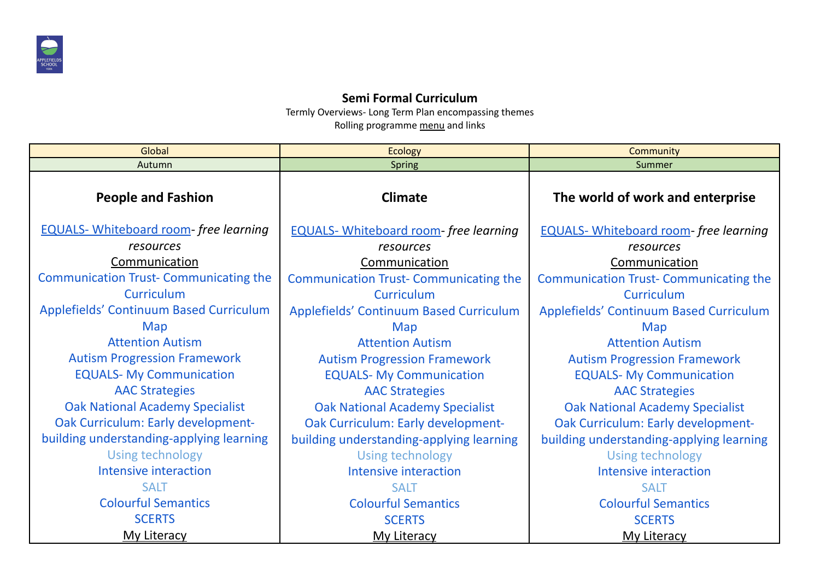

## **Semi Formal Curriculum**

Termly Overviews- Long Term Plan encompassing themes Rolling programme menu and links

| Global                                        | <b>Ecology</b>                               | Community                                     |  |  |
|-----------------------------------------------|----------------------------------------------|-----------------------------------------------|--|--|
| Autumn                                        | Spring                                       | Summer                                        |  |  |
| <b>People and Fashion</b>                     | <b>Climate</b>                               | The world of work and enterprise              |  |  |
| <b>EQUALS-</b> Whiteboard room-free learning  | <b>EQUALS-</b> Whiteboard room-free learning | <b>EQUALS-</b> Whiteboard room-free learning  |  |  |
| resources                                     | resources                                    | resources                                     |  |  |
| Communication                                 | Communication                                | Communication                                 |  |  |
| <b>Communication Trust- Communicating the</b> | <b>Communication Trust-Communicating the</b> | <b>Communication Trust- Communicating the</b> |  |  |
| <b>Curriculum</b>                             | Curriculum                                   | <b>Curriculum</b>                             |  |  |
| Applefields' Continuum Based Curriculum       | Applefields' Continuum Based Curriculum      | Applefields' Continuum Based Curriculum       |  |  |
| Map                                           | Map                                          | Map                                           |  |  |
| <b>Attention Autism</b>                       | <b>Attention Autism</b>                      | <b>Attention Autism</b>                       |  |  |
| <b>Autism Progression Framework</b>           | <b>Autism Progression Framework</b>          | <b>Autism Progression Framework</b>           |  |  |
| <b>EQUALS-My Communication</b>                | <b>EQUALS- My Communication</b>              | <b>EQUALS- My Communication</b>               |  |  |
| <b>AAC Strategies</b>                         | <b>AAC Strategies</b>                        | <b>AAC Strategies</b>                         |  |  |
| <b>Oak National Academy Specialist</b>        | <b>Oak National Academy Specialist</b>       | <b>Oak National Academy Specialist</b>        |  |  |
| Oak Curriculum: Early development-            | Oak Curriculum: Early development-           | Oak Curriculum: Early development-            |  |  |
| building understanding-applying learning      | building understanding-applying learning     | building understanding-applying learning      |  |  |
| Using technology                              | <b>Using technology</b>                      | Using technology                              |  |  |
| <b>Intensive interaction</b>                  | Intensive interaction                        | <b>Intensive interaction</b>                  |  |  |
| <b>SALT</b>                                   | <b>SALT</b>                                  | <b>SALT</b>                                   |  |  |
| <b>Colourful Semantics</b>                    | <b>Colourful Semantics</b>                   | <b>Colourful Semantics</b>                    |  |  |
| <b>SCERTS</b>                                 | <b>SCERTS</b>                                | <b>SCERTS</b>                                 |  |  |
| <b>My Literacy</b>                            | <b>My Literacy</b>                           | <b>My Literacy</b>                            |  |  |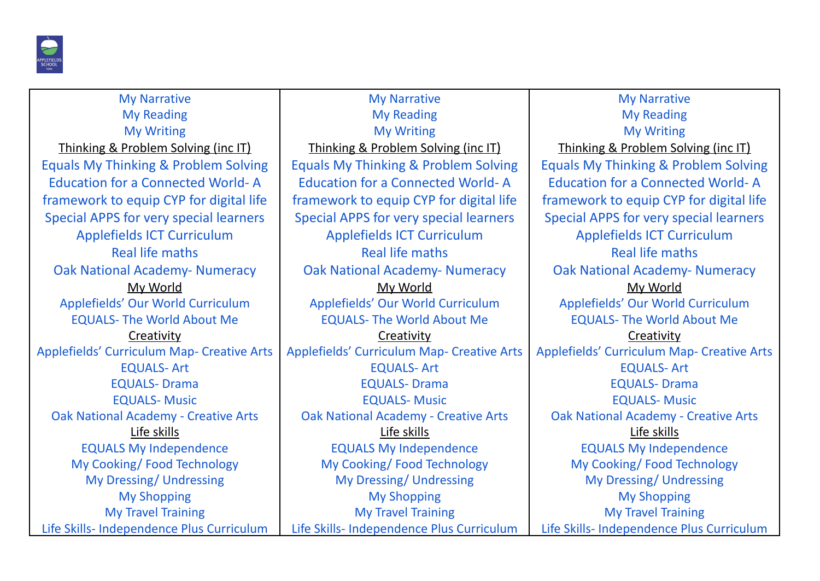

My Narrative My Reading My Writing Thinking & Problem Solving (inc IT) Equals My Thinking & Problem Solving Education for a Connected World- A framework to equip CYP for digital life Special APPS for very special learners Applefields ICT Curriculum Real life maths Oak National Academy- Numeracy My World Applefields' Our World Curriculum EQUALS- The World About Me **Creativity** Applefields' Curriculum Map- Creative Arts EQUALS- Art EQUALS- Drama EQUALS- Music Oak National Academy - Creative Arts Life skills EQUALS My Independence My Cooking/ Food Technology My Dressing/ Undressing My Shopping My Travel Training Life Skills- Independence Plus Curriculum

My Narrative My Reading My Writing Thinking & Problem Solving (inc IT) Equals My Thinking & Problem Solving Education for a Connected World- A framework to equip CYP for digital life Special APPS for very special learners Applefields ICT Curriculum Real life maths Oak National Academy- Numeracy My World Applefields' Our World Curriculum EQUALS- The World About Me **Creativity** Applefields' Curriculum Map- Creative Arts EQUALS- Art EQUALS- Drama EQUALS- Music Oak National Academy - Creative Arts Life skills EQUALS My Independence My Cooking/ Food Technology My Dressing/ Undressing My Shopping My Travel Training Life Skills- Independence Plus Curriculum

My Narrative My Reading My Writing Thinking & Problem Solving (inc IT) Equals My Thinking & Problem Solving Education for a Connected World- A framework to equip CYP for digital life Special APPS for very special learners Applefields ICT Curriculum Real life maths Oak National Academy- Numeracy My World Applefields' Our World Curriculum EQUALS- The World About Me **Creativity** Applefields' Curriculum Map- Creative Arts EQUALS- Art EQUALS- Drama EQUALS- Music Oak National Academy - Creative Arts Life skills EQUALS My Independence My Cooking/ Food Technology My Dressing/ Undressing My Shopping My Travel Training Life Skills- Independence Plus Curriculum